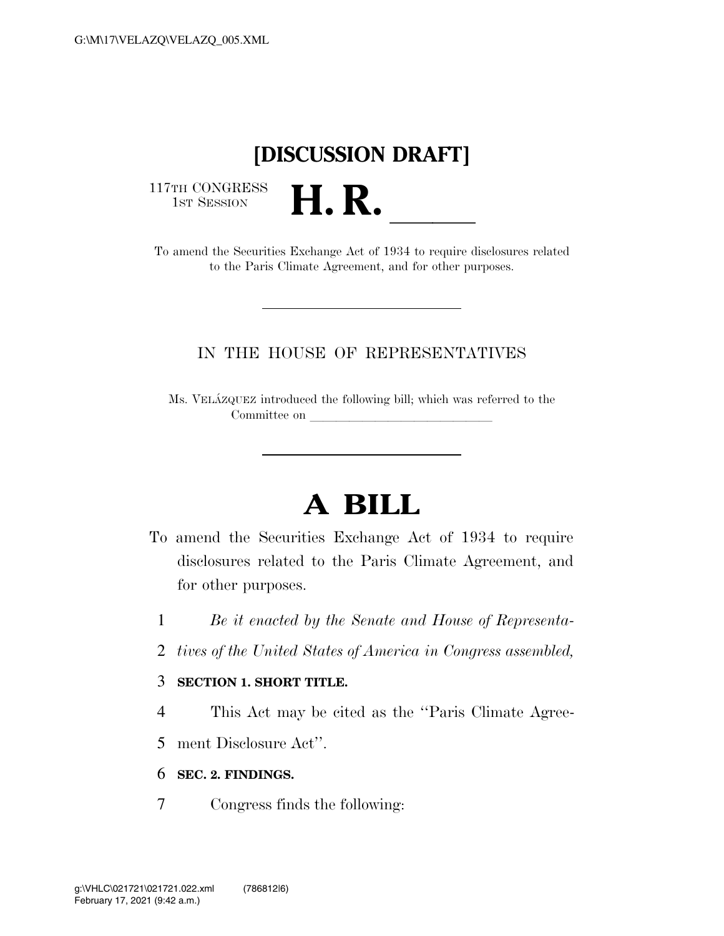## **[DISCUSSION DRAFT]**

117TH CONGRESS<br>1st Session

17TH CONGRESS<br>1st SESSION<br>To amend the Securities Exchange Act of 1934 to require disclosures related to the Paris Climate Agreement, and for other purposes.

### IN THE HOUSE OF REPRESENTATIVES

Ms. VELA´ZQUEZ introduced the following bill; which was referred to the Committee on

# **A BILL**

- To amend the Securities Exchange Act of 1934 to require disclosures related to the Paris Climate Agreement, and for other purposes.
	- 1 *Be it enacted by the Senate and House of Representa-*
	- 2 *tives of the United States of America in Congress assembled,*

#### 3 **SECTION 1. SHORT TITLE.**

- 4 This Act may be cited as the ''Paris Climate Agree-
- 5 ment Disclosure Act''.
- 6 **SEC. 2. FINDINGS.**
- 7 Congress finds the following: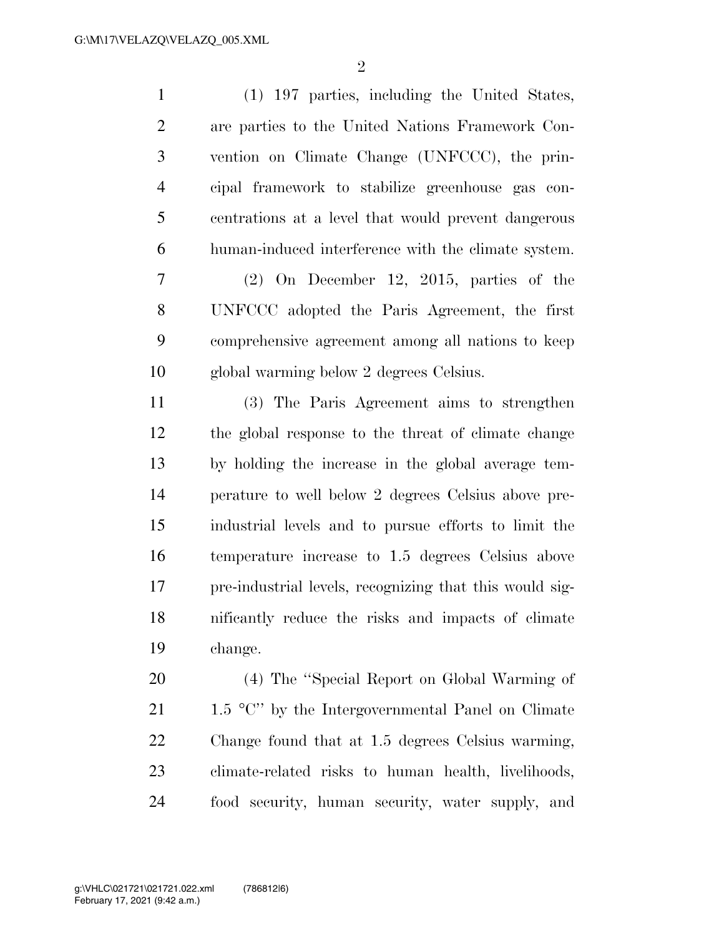(1) 197 parties, including the United States, are parties to the United Nations Framework Con- vention on Climate Change (UNFCCC), the prin- cipal framework to stabilize greenhouse gas con- centrations at a level that would prevent dangerous human-induced interference with the climate system. (2) On December 12, 2015, parties of the UNFCCC adopted the Paris Agreement, the first comprehensive agreement among all nations to keep global warming below 2 degrees Celsius. (3) The Paris Agreement aims to strengthen the global response to the threat of climate change by holding the increase in the global average tem- perature to well below 2 degrees Celsius above pre-industrial levels and to pursue efforts to limit the

 temperature increase to 1.5 degrees Celsius above pre-industrial levels, recognizing that this would sig- nificantly reduce the risks and impacts of climate change.

 (4) The ''Special Report on Global Warming of 21 1.5  $\degree$ C'' by the Intergovernmental Panel on Climate Change found that at 1.5 degrees Celsius warming, climate-related risks to human health, livelihoods, food security, human security, water supply, and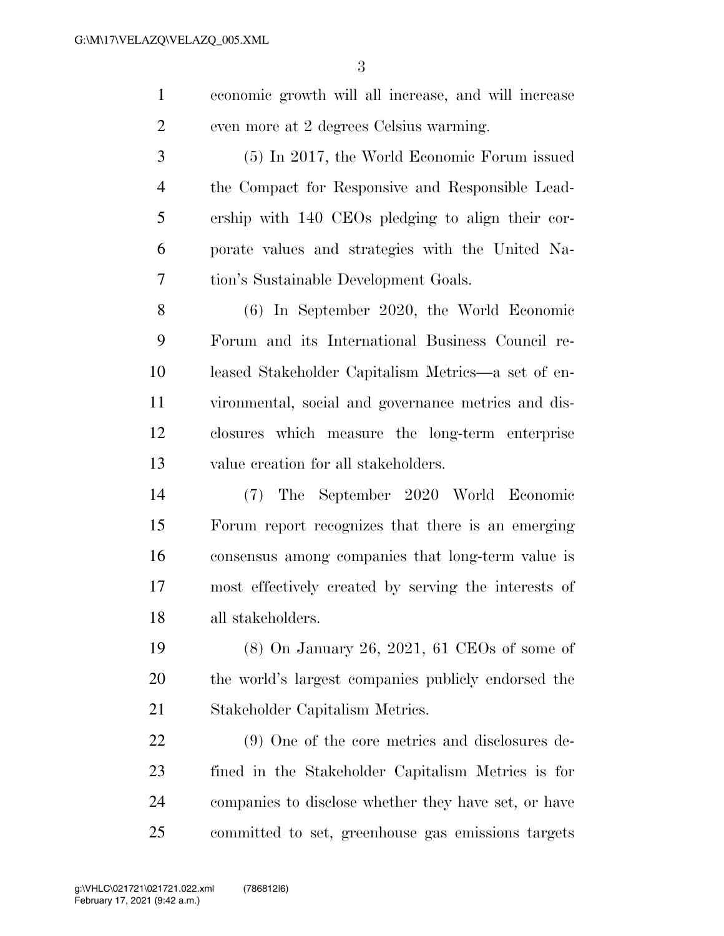economic growth will all increase, and will increase even more at 2 degrees Celsius warming.

 (5) In 2017, the World Economic Forum issued the Compact for Responsive and Responsible Lead- ership with 140 CEOs pledging to align their cor- porate values and strategies with the United Na-tion's Sustainable Development Goals.

 (6) In September 2020, the World Economic Forum and its International Business Council re- leased Stakeholder Capitalism Metrics—a set of en- vironmental, social and governance metrics and dis- closures which measure the long-term enterprise value creation for all stakeholders.

 (7) The September 2020 World Economic Forum report recognizes that there is an emerging consensus among companies that long-term value is most effectively created by serving the interests of all stakeholders.

 (8) On January 26, 2021, 61 CEOs of some of the world's largest companies publicly endorsed the Stakeholder Capitalism Metrics.

 (9) One of the core metrics and disclosures de- fined in the Stakeholder Capitalism Metrics is for companies to disclose whether they have set, or have committed to set, greenhouse gas emissions targets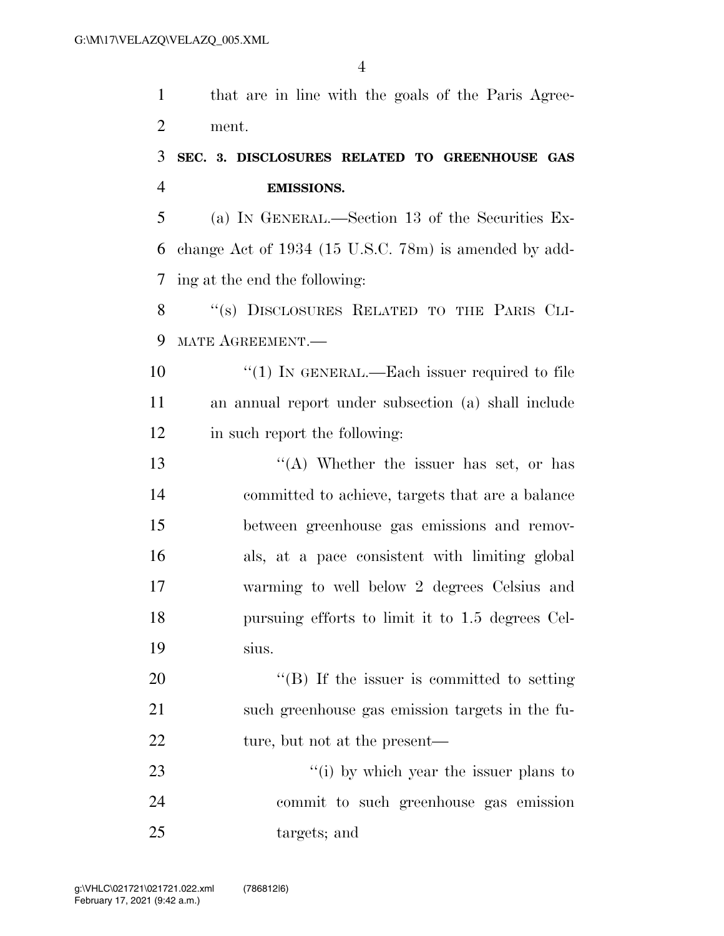that are in line with the goals of the Paris Agree-ment.

### **SEC. 3. DISCLOSURES RELATED TO GREENHOUSE GAS EMISSIONS.**

 (a) IN GENERAL.—Section 13 of the Securities Ex- change Act of 1934 (15 U.S.C. 78m) is amended by add-ing at the end the following:

8 "(s) DISCLOSURES RELATED TO THE PARIS CLI-MATE AGREEMENT.—

10  $\frac{1}{1}$  IN GENERAL.—Each issuer required to file an annual report under subsection (a) shall include in such report the following:

 ''(A) Whether the issuer has set, or has committed to achieve, targets that are a balance between greenhouse gas emissions and remov- als, at a pace consistent with limiting global warming to well below 2 degrees Celsius and pursuing efforts to limit it to 1.5 degrees Cel-sius.

20  $\text{``(B)}$  If the issuer is committed to setting such greenhouse gas emission targets in the fu-22 ture, but not at the present—

23 ''(i) by which year the issuer plans to commit to such greenhouse gas emission targets; and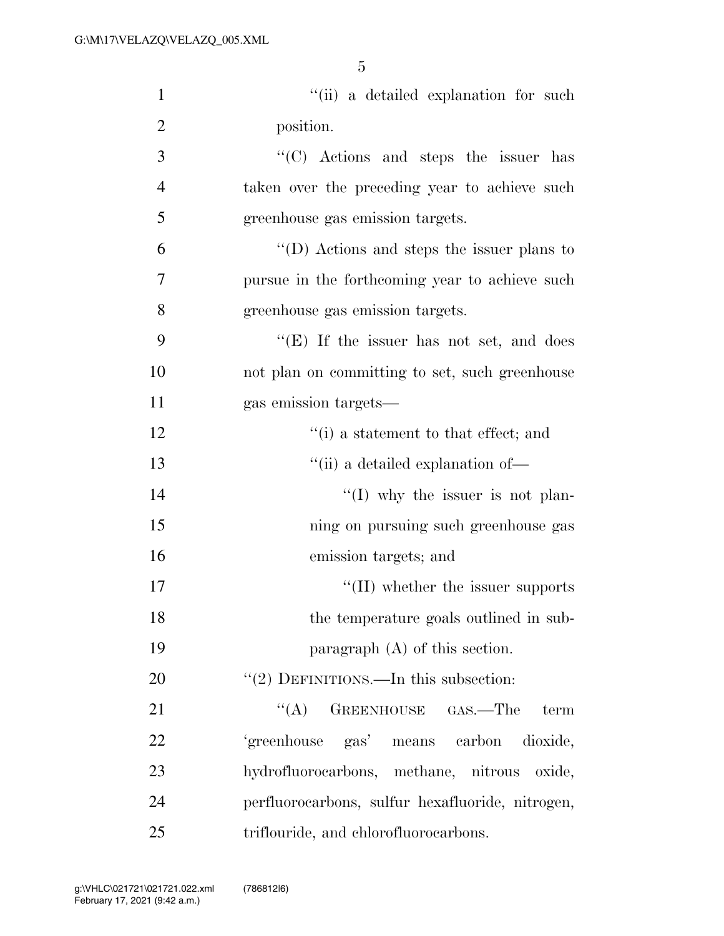| $\mathbf{1}$   | "(ii) a detailed explanation for such              |
|----------------|----------------------------------------------------|
| $\overline{2}$ | position.                                          |
| 3              | "(C) Actions and steps the issuer has              |
| $\overline{4}$ | taken over the preceding year to achieve such      |
| 5              | greenhouse gas emission targets.                   |
| 6              | $\lq\lq$ (D) Actions and steps the issuer plans to |
| 7              | pursue in the forthcoming year to achieve such     |
| 8              | greenhouse gas emission targets.                   |
| 9              | " $(E)$ If the issuer has not set, and does        |
| 10             | not plan on committing to set, such greenhouse     |
| 11             | gas emission targets—                              |
| 12             | $f'(i)$ a statement to that effect; and            |
| 13             | "(ii) a detailed explanation of-                   |
| 14             | $\lq (I)$ why the issuer is not plan-              |
| 15             | ning on pursuing such greenhouse gas               |
| 16             | emission targets; and                              |
| 17             | $\lq\lq$ (II) whether the issuer supports          |
| 18             | the temperature goals outlined in sub-             |
| 19             | paragraph $(A)$ of this section.                   |
| 20             | $\lq(2)$ DEFINITIONS.—In this subsection:          |
| 21             | ``(A)<br>GREENHOUSE GAS.—The<br>term               |
| 22             | 'greenhouse gas' means carbon<br>dioxide,          |
| 23             | hydrofluorocarbons, methane, nitrous oxide,        |
| 24             | perfluorocarbons, sulfur hexafluoride, nitrogen,   |
| 25             | triflouride, and chlorofluorocarbons.              |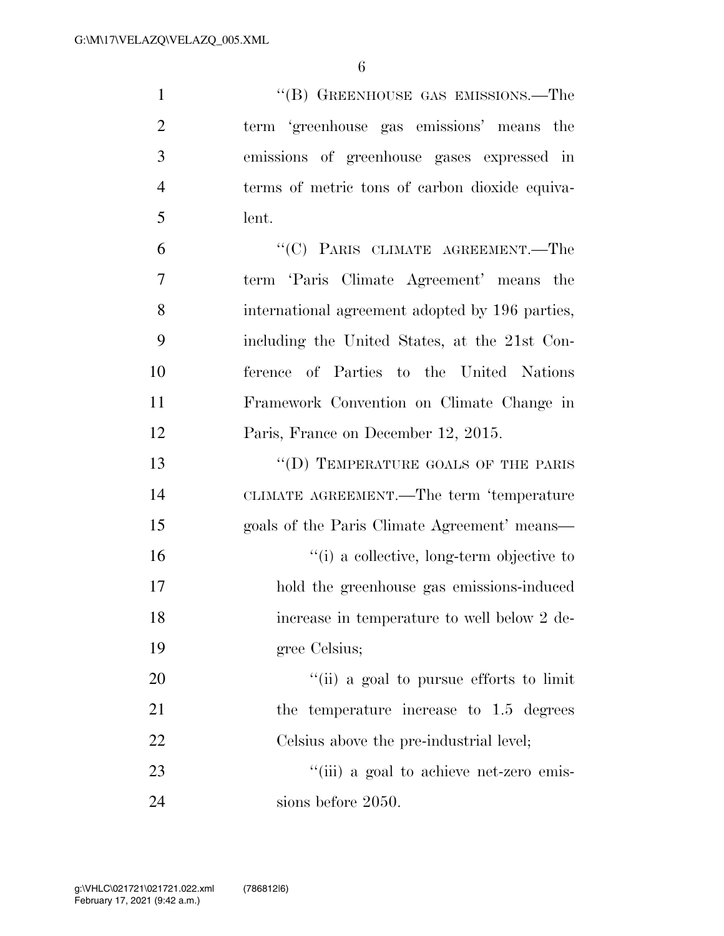| $\mathbf{1}$   | "(B) GREENHOUSE GAS EMISSIONS.—The              |
|----------------|-------------------------------------------------|
| $\overline{2}$ | term 'greenhouse gas emissions' means the       |
| 3              | emissions of greenhouse gases expressed in      |
| $\overline{4}$ | terms of metric tons of carbon dioxide equiva-  |
| 5              | lent.                                           |
| 6              | "(C) PARIS CLIMATE AGREEMENT.—The               |
| 7              | term 'Paris Climate Agreement' means the        |
| 8              | international agreement adopted by 196 parties, |
| 9              | including the United States, at the 21st Con-   |
| 10             | ference of Parties to the United Nations        |
| 11             | Framework Convention on Climate Change in       |
| 12             | Paris, France on December 12, 2015.             |
| 13             | "(D) TEMPERATURE GOALS OF THE PARIS             |
| 14             | CLIMATE AGREEMENT.—The term 'temperature        |
| 15             | goals of the Paris Climate Agreement' means—    |
| 16             | "(i) a collective, long-term objective to       |
| 17             | hold the greenhouse gas emissions-induced       |
| 18             | increase in temperature to well below 2 de-     |
| 19             | gree Celsius;                                   |
| 20             | "(ii) a goal to pursue efforts to limit         |
| 21             | the temperature increase to 1.5 degrees         |
| 22             | Celsius above the pre-industrial level;         |
| 23             | "(iii) a goal to achieve net-zero emis-         |
| 24             | sions before 2050.                              |